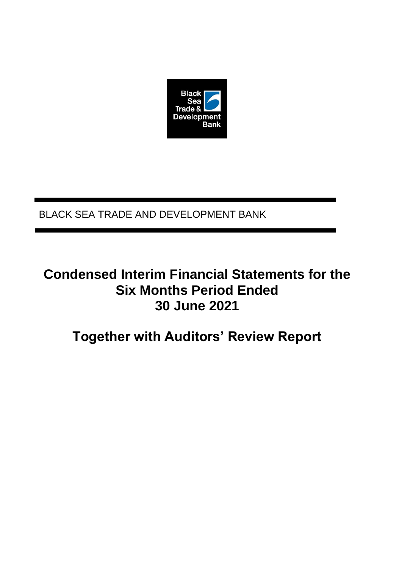

### BLACK SEA TRADE AND DEVELOPMENT BANK

# **Condensed Interim Financial Statements for the Six Months Period Ended 30 June 2021**

# **Together with Auditors' Review Report**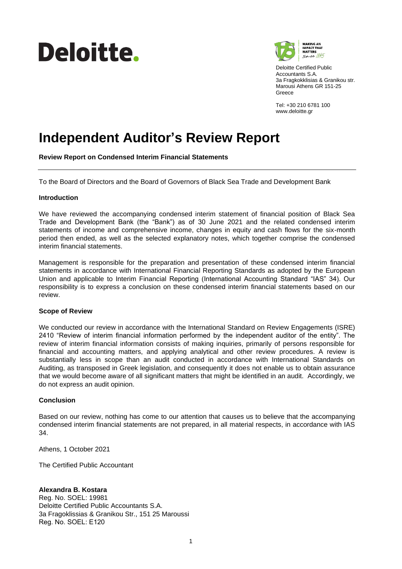# Deloitte.



Deloitte Certified Public Accountants S.A. 3a Fragkokklisias & Granikou str. Marousi Athens GR 151-25 Greece

Tel: +30 210 6781 100 www.deloitte.gr

# **Independent Auditor's Review Report**

**Review Report on Condensed Interim Financial Statements**

To the Board of Directors and the Board of Governors of Black Sea Trade and Development Bank

#### **Introduction**

We have reviewed the accompanying condensed interim statement of financial position of Black Sea Trade and Development Bank (the "Bank") as of 30 June 2021 and the related condensed interim statements of income and comprehensive income, changes in equity and cash flows for the six-month period then ended, as well as the selected explanatory notes, which together comprise the condensed interim financial statements.

Management is responsible for the preparation and presentation of these condensed interim financial statements in accordance with International Financial Reporting Standards as adopted by the European Union and applicable to Interim Financial Reporting (International Accounting Standard "IAS" 34). Our responsibility is to express a conclusion on these condensed interim financial statements based on our review.

#### **Scope of Review**

We conducted our review in accordance with the International Standard on Review Engagements (ISRE) 2410 "Review of interim financial information performed by the independent auditor of the entity". The review of interim financial information consists of making inquiries, primarily of persons responsible for financial and accounting matters, and applying analytical and other review procedures. A review is substantially less in scope than an audit conducted in accordance with International Standards on Auditing, as transposed in Greek legislation, and consequently it does not enable us to obtain assurance that we would become aware of all significant matters that might be identified in an audit. Accordingly, we do not express an audit opinion.

### **Conclusion**

Based on our review, nothing has come to our attention that causes us to believe that the accompanying condensed interim financial statements are not prepared, in all material respects, in accordance with IAS 34.

Athens, 1 October 2021

The Certified Public Accountant

### **Alexandra B. Kostara**

Reg. No. SOEL: 19981 Deloitte Certified Public Accountants S.A. 3a Fragoklissias & Granikou Str., 151 25 Maroussi Reg. No. SOEL: Ε120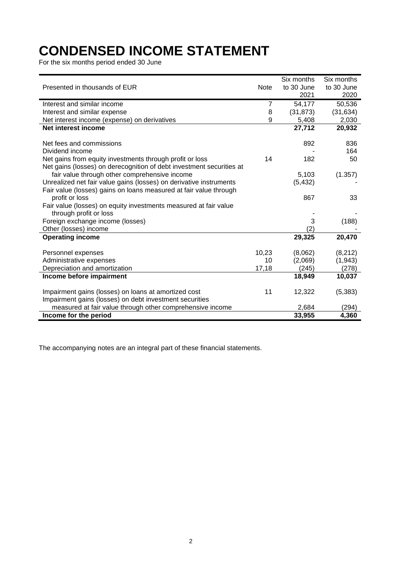# **CONDENSED INCOME STATEMENT**

For the six months period ended 30 June

|                                                                      |                | Six months | Six months |
|----------------------------------------------------------------------|----------------|------------|------------|
| Presented in thousands of EUR                                        | <b>Note</b>    | to 30 June | to 30 June |
|                                                                      |                | 2021       | 2020       |
| Interest and similar income                                          | $\overline{7}$ | 54,177     | 50,536     |
| Interest and similar expense                                         | 8              | (31, 873)  | (31, 634)  |
| Net interest income (expense) on derivatives                         | 9              | 5,408      | 2,030      |
| Net interest income                                                  |                | 27,712     | 20,932     |
|                                                                      |                |            |            |
| Net fees and commissions                                             |                | 892        | 836        |
| Dividend income                                                      |                |            | 164        |
| Net gains from equity investments through profit or loss             | 14             | 182        | 50         |
| Net gains (losses) on derecognition of debt investment securities at |                |            |            |
| fair value through other comprehensive income                        |                | 5,103      | (1.357)    |
| Unrealized net fair value gains (losses) on derivative instruments   |                | (5, 432)   |            |
| Fair value (losses) gains on loans measured at fair value through    |                |            |            |
| profit or loss                                                       |                | 867        | 33         |
| Fair value (losses) on equity investments measured at fair value     |                |            |            |
| through profit or loss                                               |                |            |            |
| Foreign exchange income (losses)                                     |                | 3          | (188)      |
| Other (losses) income                                                |                | (2)        |            |
| <b>Operating income</b>                                              |                | 29,325     | 20,470     |
|                                                                      |                |            |            |
| Personnel expenses                                                   | 10,23          | (8,062)    | (8,212)    |
| Administrative expenses                                              | 10             | (2,069)    | (1,943)    |
| Depreciation and amortization                                        | 17,18          | (245)      | (278)      |
| Income before impairment                                             |                | 18,949     | 10,037     |
|                                                                      |                |            |            |
| Impairment gains (losses) on loans at amortized cost                 | 11             | 12,322     | (5, 383)   |
| Impairment gains (losses) on debt investment securities              |                |            |            |
| measured at fair value through other comprehensive income            |                | 2,684      | (294)      |
| Income for the period                                                |                | 33,955     | 4,360      |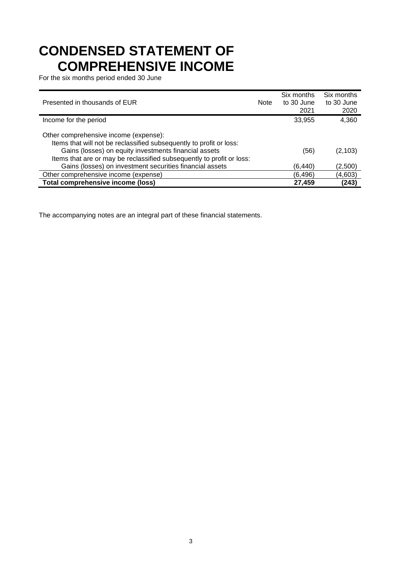# **CONDENSED STATEMENT OF COMPREHENSIVE INCOME**

For the six months period ended 30 June

| Presented in thousands of EUR                                                                                                                                                                                                                  | <b>Note</b> | Six months<br>to 30 June<br>2021 | Six months<br>to 30 June<br>2020 |
|------------------------------------------------------------------------------------------------------------------------------------------------------------------------------------------------------------------------------------------------|-------------|----------------------------------|----------------------------------|
| Income for the period                                                                                                                                                                                                                          |             | 33,955                           | 4,360                            |
| Other comprehensive income (expense):<br>Items that will not be reclassified subsequently to profit or loss:<br>Gains (losses) on equity investments financial assets<br>Items that are or may be reclassified subsequently to profit or loss: |             | (56)                             | (2, 103)                         |
| Gains (losses) on investment securities financial assets                                                                                                                                                                                       |             | (6, 440)                         | (2,500)                          |
| Other comprehensive income (expense)                                                                                                                                                                                                           |             | (6, 496)                         | (4,603)                          |
| <b>Total comprehensive income (loss)</b>                                                                                                                                                                                                       |             | 27,459                           | (243)                            |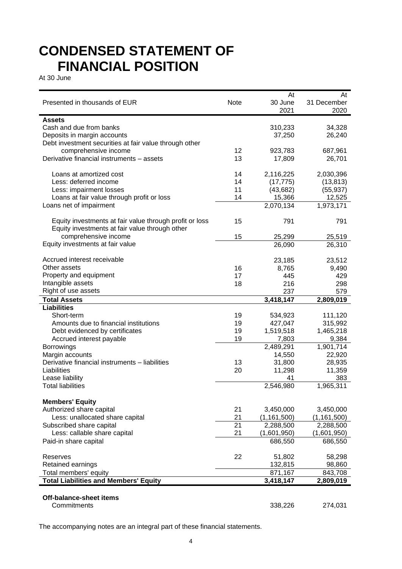## **CONDENSED STATEMENT OF FINANCIAL POSITION**

At 30 June

|                                                         |             | At            | At            |
|---------------------------------------------------------|-------------|---------------|---------------|
| Presented in thousands of EUR                           | <b>Note</b> | 30 June       | 31 December   |
|                                                         |             | 2021          | 2020          |
| <b>Assets</b>                                           |             |               |               |
| Cash and due from banks                                 |             | 310,233       | 34,328        |
| Deposits in margin accounts                             |             | 37,250        | 26,240        |
| Debt investment securities at fair value through other  |             |               |               |
| comprehensive income                                    | 12          | 923,783       | 687,961       |
| Derivative financial instruments - assets               | 13          | 17,809        | 26,701        |
|                                                         |             |               |               |
| Loans at amortized cost                                 | 14          | 2,116,225     | 2,030,396     |
| Less: deferred income                                   | 14          | (17, 775)     | (13, 813)     |
| Less: impairment losses                                 | 11          | (43, 682)     | (55, 937)     |
| Loans at fair value through profit or loss              | 14          | 15,366        | 12,525        |
| Loans net of impairment                                 |             | 2,070,134     | 1,973,171     |
|                                                         |             |               |               |
| Equity investments at fair value through profit or loss | 15          | 791           | 791           |
| Equity investments at fair value through other          |             |               |               |
| comprehensive income                                    | 15          | 25,299        | 25,519        |
| Equity investments at fair value                        |             | 26,090        | 26,310        |
|                                                         |             |               |               |
| Accrued interest receivable                             |             | 23,185        | 23,512        |
| Other assets                                            | 16          | 8,765         | 9,490         |
| Property and equipment                                  | 17          | 445           | 429           |
| Intangible assets                                       | 18          | 216           | 298           |
| Right of use assets                                     |             | 237           | 579           |
| <b>Total Assets</b>                                     |             | 3,418,147     | 2,809,019     |
| <b>Liabilities</b>                                      |             |               |               |
| Short-term                                              | 19          | 534,923       | 111,120       |
| Amounts due to financial institutions                   | 19          | 427,047       | 315,992       |
| Debt evidenced by certificates                          | 19          | 1,519,518     | 1,465,218     |
| Accrued interest payable                                | 19          | 7,803         | 9,384         |
| Borrowings                                              |             | 2,489,291     | 1,901,714     |
| Margin accounts                                         |             | 14,550        | 22,920        |
| Derivative financial instruments - liabilities          | 13          | 31,800        | 28,935        |
| Liabilities                                             | 20          | 11,298        | 11,359        |
| Lease liability                                         |             | 41            | 383           |
| <b>Total liabilities</b>                                |             | 2,546,980     | 1,965,311     |
| <b>Members' Equity</b>                                  |             |               |               |
| Authorized share capital                                | 21          | 3,450,000     | 3,450,000     |
| Less: unallocated share capital                         | 21          | (1, 161, 500) | (1, 161, 500) |
| Subscribed share capital                                | 21          | 2,288,500     | 2,288,500     |
| Less: callable share capital                            | 21          | (1,601,950)   | (1,601,950)   |
| Paid-in share capital                                   |             | 686,550       | 686,550       |
|                                                         |             |               |               |
| Reserves                                                | 22          | 51,802        | 58,298        |
| Retained earnings                                       |             | 132,815       | 98,860        |
| Total members' equity                                   |             | 871,167       | 843,708       |
| <b>Total Liabilities and Members' Equity</b>            |             | 3,418,147     | 2,809,019     |
|                                                         |             |               |               |
| Off-balance-sheet items                                 |             |               |               |
| Commitments                                             |             | 338,226       | 274,031       |
|                                                         |             |               |               |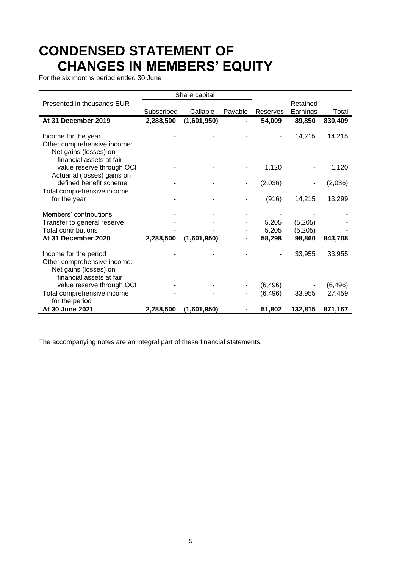# **CONDENSED STATEMENT OF CHANGES IN MEMBERS' EQUITY**

For the six months period ended 30 June

|                                                      |            | Share capital |         |          |          |          |
|------------------------------------------------------|------------|---------------|---------|----------|----------|----------|
| Presented in thousands EUR                           |            |               |         |          | Retained |          |
|                                                      | Subscribed | Callable      | Payable | Reserves | Earnings | Total    |
| At 31 December 2019                                  | 2,288,500  | (1,601,950)   |         | 54,009   | 89,850   | 830,409  |
|                                                      |            |               |         |          |          |          |
| Income for the year                                  |            |               |         |          | 14,215   | 14,215   |
| Other comprehensive income:                          |            |               |         |          |          |          |
| Net gains (losses) on                                |            |               |         |          |          |          |
| financial assets at fair                             |            |               |         |          |          |          |
| value reserve through OCI                            |            |               |         | 1,120    |          | 1,120    |
| Actuarial (losses) gains on                          |            |               |         |          |          |          |
| defined benefit scheme                               |            |               |         | (2,036)  |          | (2,036)  |
| Total comprehensive income                           |            |               |         |          |          |          |
| for the year                                         |            |               |         | (916)    | 14,215   | 13,299   |
|                                                      |            |               |         |          |          |          |
| Members' contributions                               |            |               |         |          |          |          |
| Transfer to general reserve                          |            |               |         | 5,205    | (5,205)  |          |
| <b>Total contributions</b>                           |            |               |         | 5,205    | (5,205)  |          |
| At 31 December 2020                                  | 2,288,500  | (1,601,950)   |         | 58,298   | 98,860   | 843,708  |
|                                                      |            |               |         |          |          |          |
| Income for the period<br>Other comprehensive income: |            |               |         |          | 33,955   | 33,955   |
|                                                      |            |               |         |          |          |          |
| Net gains (losses) on<br>financial assets at fair    |            |               |         |          |          |          |
| value reserve through OCI                            |            |               |         |          |          |          |
|                                                      |            |               |         | (6, 496) | 33,955   | (6, 496) |
| Total comprehensive income<br>for the period         |            |               |         | (6, 496) |          | 27,459   |
| At 30 June 2021                                      | 2,288,500  | (1,601,950)   |         | 51,802   | 132,815  | 871,167  |
|                                                      |            |               |         |          |          |          |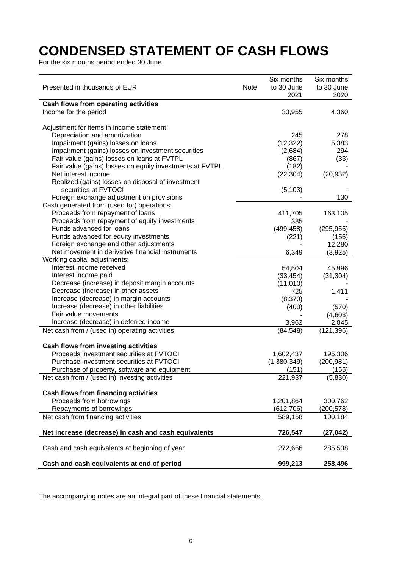# **CONDENSED STATEMENT OF CASH FLOWS**

For the six months period ended 30 June

| Presented in thousands of EUR                            | Note | Six months<br>to 30 June<br>2021 | Six months<br>to 30 June<br>2020 |
|----------------------------------------------------------|------|----------------------------------|----------------------------------|
| Cash flows from operating activities                     |      |                                  |                                  |
| Income for the period                                    |      | 33,955                           | 4,360                            |
|                                                          |      |                                  |                                  |
| Adjustment for items in income statement:                |      |                                  |                                  |
| Depreciation and amortization                            |      | 245                              | 278                              |
| Impairment (gains) losses on loans                       |      | (12, 322)                        | 5,383                            |
| Impairment (gains) losses on investment securities       |      | (2,684)                          | 294                              |
| Fair value (gains) losses on loans at FVTPL              |      | (867)                            | (33)                             |
| Fair value (gains) losses on equity investments at FVTPL |      | (182)                            |                                  |
| Net interest income                                      |      | (22, 304)                        | (20, 932)                        |
| Realized (gains) losses on disposal of investment        |      |                                  |                                  |
| securities at FVTOCI                                     |      | (5, 103)                         |                                  |
| Foreign exchange adjustment on provisions                |      |                                  | 130                              |
| Cash generated from (used for) operations:               |      |                                  |                                  |
| Proceeds from repayment of loans                         |      | 411,705                          | 163,105                          |
| Proceeds from repayment of equity investments            |      | 385                              |                                  |
| Funds advanced for loans                                 |      | (499, 458)                       | (295, 955)                       |
| Funds advanced for equity investments                    |      | (221)                            | (156)                            |
| Foreign exchange and other adjustments                   |      |                                  | 12,280                           |
| Net movement in derivative financial instruments         |      | 6,349                            | (3,925)                          |
| Working capital adjustments:                             |      |                                  |                                  |
| Interest income received                                 |      | 54,504                           | 45,996                           |
| Interest income paid                                     |      | (33, 454)                        | (31, 304)                        |
| Decrease (increase) in deposit margin accounts           |      | (11, 010)                        |                                  |
| Decrease (increase) in other assets                      |      | 725                              | 1,411                            |
| Increase (decrease) in margin accounts                   |      | (8,370)                          |                                  |
| Increase (decrease) in other liabilities                 |      | (403)                            | (570)                            |
| Fair value movements                                     |      |                                  | (4,603)                          |
| Increase (decrease) in deferred income                   |      | 3,962                            | 2,845                            |
| Net cash from / (used in) operating activities           |      | (84, 548)                        | (121, 396)                       |
|                                                          |      |                                  |                                  |
| <b>Cash flows from investing activities</b>              |      |                                  |                                  |
| Proceeds investment securities at FVTOCI                 |      | 1,602,437                        | 195,306                          |
| Purchase investment securities at FVTOCI                 |      | (1,380,349)                      | (200, 981)                       |
| Purchase of property, software and equipment             |      | (151)                            | (155)                            |
| Net cash from / (used in) investing activities           |      | 221,937                          | (5,830)                          |
| <b>Cash flows from financing activities</b>              |      |                                  |                                  |
| Proceeds from borrowings                                 |      | 1,201,864                        | 300,762                          |
| Repayments of borrowings                                 |      | (612, 706)                       | (200, 578)                       |
| Net cash from financing activities                       |      | 589,158                          | 100,184                          |
|                                                          |      |                                  |                                  |
| Net increase (decrease) in cash and cash equivalents     |      | 726,547                          | (27, 042)                        |
| Cash and cash equivalents at beginning of year           |      | 272,666                          | 285,538                          |
|                                                          |      |                                  |                                  |
| Cash and cash equivalents at end of period               |      | 999,213                          | 258,496                          |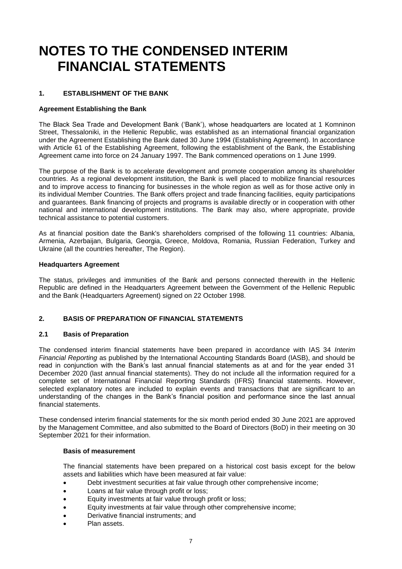# **NOTES TO THE CONDENSED INTERIM FINANCIAL STATEMENTS**

### **1. ESTABLISHMENT OF THE BANK**

#### **Agreement Establishing the Bank**

The Black Sea Trade and Development Bank ('Bank'), whose headquarters are located at 1 Komninon Street, Thessaloniki, in the Hellenic Republic, was established as an international financial organization under the Agreement Establishing the Bank dated 30 June 1994 (Establishing Agreement). In accordance with Article 61 of the Establishing Agreement, following the establishment of the Bank, the Establishing Agreement came into force on 24 January 1997. The Bank commenced operations on 1 June 1999.

The purpose of the Bank is to accelerate development and promote cooperation among its shareholder countries. As a regional development institution, the Bank is well placed to mobilize financial resources and to improve access to financing for businesses in the whole region as well as for those active only in its individual Member Countries. The Bank offers project and trade financing facilities, equity participations and guarantees. Bank financing of projects and programs is available directly or in cooperation with other national and international development institutions. The Bank may also, where appropriate, provide technical assistance to potential customers.

As at financial position date the Bank's shareholders comprised of the following 11 countries: Albania, Armenia, Azerbaijan, Bulgaria, Georgia, Greece, Moldova, Romania, Russian Federation, Turkey and Ukraine (all the countries hereafter, The Region).

#### **Headquarters Agreement**

The status, privileges and immunities of the Bank and persons connected therewith in the Hellenic Republic are defined in the Headquarters Agreement between the Government of the Hellenic Republic and the Bank (Headquarters Agreement) signed on 22 October 1998.

### **2. BASIS OF PREPARATION OF FINANCIAL STATEMENTS**

#### **2.1 Basis of Preparation**

The condensed interim financial statements have been prepared in accordance with IAS 34 *Interim Financial Reporting* as published by the International Accounting Standards Board (IASB), and should be read in conjunction with the Bank's last annual financial statements as at and for the year ended 31 December 2020 (last annual financial statements). They do not include all the information required for a complete set of International Financial Reporting Standards (IFRS) financial statements. However, selected explanatory notes are included to explain events and transactions that are significant to an understanding of the changes in the Bank's financial position and performance since the last annual financial statements.

These condensed interim financial statements for the six month period ended 30 June 2021 are approved by the Management Committee, and also submitted to the Board of Directors (BoD) in their meeting on 30 September 2021 for their information.

#### **Basis of measurement**

The financial statements have been prepared on a historical cost basis except for the below assets and liabilities which have been measured at fair value:

- Debt investment securities at fair value through other comprehensive income;
- Loans at fair value through profit or loss;
- Equity investments at fair value through profit or loss;
- Equity investments at fair value through other comprehensive income;
- Derivative financial instruments; and
- Plan assets.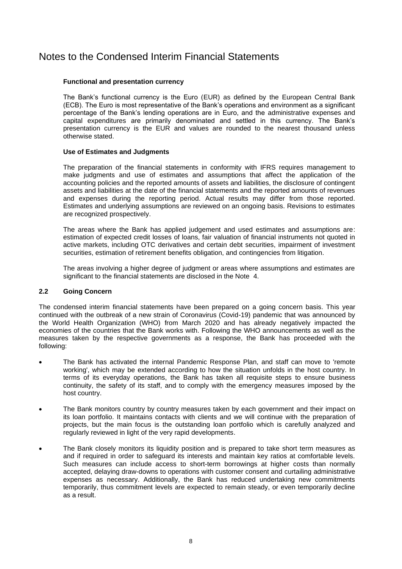### **Functional and presentation currency**

The Bank's functional currency is the Euro (EUR) as defined by the European Central Bank (ECB). The Euro is most representative of the Bank's operations and environment as a significant percentage of the Bank's lending operations are in Euro, and the administrative expenses and capital expenditures are primarily denominated and settled in this currency. The Bank's presentation currency is the EUR and values are rounded to the nearest thousand unless otherwise stated.

### **Use of Estimates and Judgments**

The preparation of the financial statements in conformity with IFRS requires management to make judgments and use of estimates and assumptions that affect the application of the accounting policies and the reported amounts of assets and liabilities, the disclosure of contingent assets and liabilities at the date of the financial statements and the reported amounts of revenues and expenses during the reporting period. Actual results may differ from those reported. Estimates and underlying assumptions are reviewed on an ongoing basis. Revisions to estimates are recognized prospectively.

The areas where the Bank has applied judgement and used estimates and assumptions are: estimation of expected credit losses of loans, fair valuation of financial instruments not quoted in active markets, including OTC derivatives and certain debt securities, impairment of investment securities, estimation of retirement benefits obligation, and contingencies from litigation.

The areas involving a higher degree of judgment or areas where assumptions and estimates are significant to the financial statements are disclosed in the Note 4.

### **2.2 Going Concern**

The condensed interim financial statements have been prepared on a going concern basis. This year continued with the outbreak of a new strain of Coronavirus (Covid-19) pandemic that was announced by the World Health Organization (WHO) from March 2020 and has already negatively impacted the economies of the countries that the Bank works with. Following the WHO announcements as well as the measures taken by the respective governments as a response, the Bank has proceeded with the following:

- The Bank has activated the internal Pandemic Response Plan, and staff can move to 'remote working', which may be extended according to how the situation unfolds in the host country. In terms of its everyday operations, the Bank has taken all requisite steps to ensure business continuity, the safety of its staff, and to comply with the emergency measures imposed by the host country.
- The Bank monitors country by country measures taken by each government and their impact on its loan portfolio. It maintains contacts with clients and we will continue with the preparation of projects, but the main focus is the outstanding loan portfolio which is carefully analyzed and regularly reviewed in light of the very rapid developments.
- The Bank closely monitors its liquidity position and is prepared to take short term measures as and if required in order to safeguard its interests and maintain key ratios at comfortable levels. Such measures can include access to short-term borrowings at higher costs than normally accepted, delaying draw-downs to operations with customer consent and curtailing administrative expenses as necessary. Additionally, the Bank has reduced undertaking new commitments temporarily, thus commitment levels are expected to remain steady, or even temporarily decline as a result.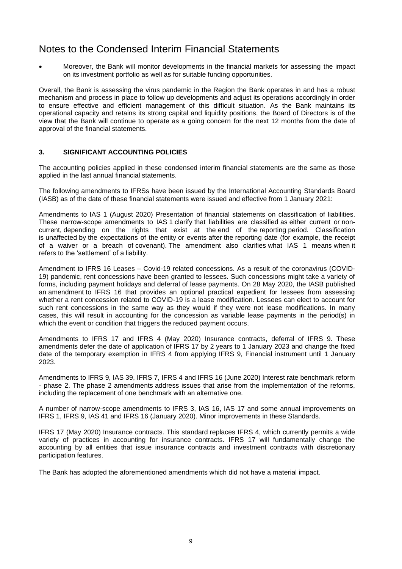• Moreover, the Bank will monitor developments in the financial markets for assessing the impact on its investment portfolio as well as for suitable funding opportunities.

Overall, the Bank is assessing the virus pandemic in the Region the Bank operates in and has a robust mechanism and process in place to follow up developments and adjust its operations accordingly in order to ensure effective and efficient management of this difficult situation. As the Bank maintains its operational capacity and retains its strong capital and liquidity positions, the Board of Directors is of the view that the Bank will continue to operate as a going concern for the next 12 months from the date of approval of the financial statements.

### **3. SIGNIFICANT ACCOUNTING POLICIES**

The accounting policies applied in these condensed interim financial statements are the same as those applied in the last annual financial statements.

The following amendments to IFRSs have been issued by the International Accounting Standards Board (IASB) as of the date of these financial statements were issued and effective from 1 January 2021:

Amendments to IAS 1 (August 2020) Presentation of financial statements on classification of liabilities. These narrow-scope amendments to IAS 1 clarify that liabilities are classified as either current or noncurrent, depending on the rights that exist at the end of the reporting period. Classification is unaffected by the expectations of the entity or events after the reporting date (for example, the receipt of a waiver or a breach of covenant). The amendment also clarifies what IAS 1 means when it refers to the 'settlement' of a liability.

Amendment to IFRS 16 Leases – Covid-19 related concessions. As a result of the coronavirus (COVID-19) pandemic, rent concessions have been granted to lessees. Such concessions might take a variety of forms, including payment holidays and deferral of lease payments. On 28 May 2020, the IASB published an amendment to IFRS 16 that provides an optional practical expedient for lessees from assessing whether a rent concession related to COVID-19 is a lease modification. Lessees can elect to account for such rent concessions in the same way as they would if they were not lease modifications. In many cases, this will result in accounting for the concession as variable lease payments in the period(s) in which the event or condition that triggers the reduced payment occurs.

Amendments to IFRS 17 and IFRS 4 (May 2020) Insurance contracts, deferral of IFRS 9. These amendments defer the date of application of IFRS 17 by 2 years to 1 January 2023 and change the fixed date of the temporary exemption in IFRS 4 from applying IFRS 9, Financial instrument until 1 January 2023.

Amendments to IFRS 9, IAS 39, IFRS 7, IFRS 4 and IFRS 16 (June 2020) Interest rate benchmark reform - phase 2. The phase 2 amendments address issues that arise from the implementation of the reforms, including the replacement of one benchmark with an alternative one.

A number of narrow-scope amendments to IFRS 3, IAS 16, IAS 17 and some annual improvements on IFRS 1, IFRS 9, IAS 41 and IFRS 16 (January 2020). Minor improvements in these Standards.

IFRS 17 (May 2020) Insurance contracts. This standard replaces IFRS 4, which currently permits a wide variety of practices in accounting for insurance contracts. IFRS 17 will fundamentally change the accounting by all entities that issue insurance contracts and investment contracts with discretionary participation features.

The Bank has adopted the aforementioned amendments which did not have a material impact.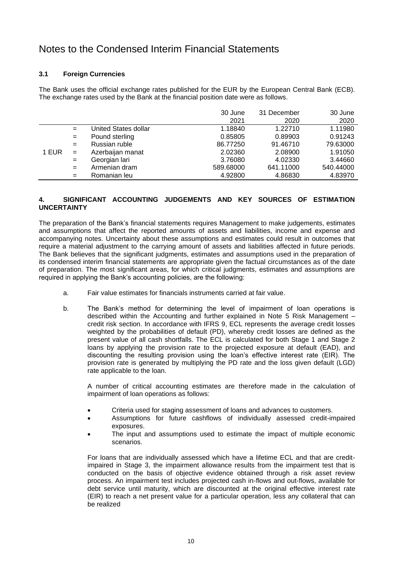### **3.1 Foreign Currencies**

The Bank uses the official exchange rates published for the EUR by the European Central Bank (ECB). The exchange rates used by the Bank at the financial position date were as follows.

|       |     |                      | 30 June   | 31 December | 30 June   |
|-------|-----|----------------------|-----------|-------------|-----------|
|       |     |                      | 2021      | 2020        | 2020      |
|       | $=$ | United States dollar | 1.18840   | 1.22710     | 1.11980   |
|       | $=$ | Pound sterling       | 0.85805   | 0.89903     | 0.91243   |
|       | $=$ | Russian ruble        | 86.77250  | 91.46710    | 79.63000  |
| 1 EUR | $=$ | Azerbaijan manat     | 2.02360   | 2.08900     | 1.91050   |
|       | $=$ | Georgian lari        | 3.76080   | 4.02330     | 3.44660   |
|       | $=$ | Armenian dram        | 589.68000 | 641.11000   | 540.44000 |
|       | $=$ | Romanian leu         | 4.92800   | 4.86830     | 4.83970   |

### **4. SIGNIFICANT ACCOUNTING JUDGEMENTS AND KEY SOURCES OF ESTIMATION UNCERTAINTY**

The preparation of the Bank's financial statements requires Management to make judgements, estimates and assumptions that affect the reported amounts of assets and liabilities, income and expense and accompanying notes. Uncertainty about these assumptions and estimates could result in outcomes that require a material adjustment to the carrying amount of assets and liabilities affected in future periods. The Bank believes that the significant judgments, estimates and assumptions used in the preparation of its condensed interim financial statements are appropriate given the factual circumstances as of the date of preparation. The most significant areas, for which critical judgments, estimates and assumptions are required in applying the Bank's accounting policies, are the following:

- a. Fair value estimates for financials instruments carried at fair value.
- b. The Bank's method for determining the level of impairment of loan operations is described within the Accounting and further explained in Note 5 Risk Management – credit risk section. In accordance with IFRS 9, ECL represents the average credit losses weighted by the probabilities of default (PD), whereby credit losses are defined as the present value of all cash shortfalls. The ECL is calculated for both Stage 1 and Stage 2 loans by applying the provision rate to the projected exposure at default (EAD), and discounting the resulting provision using the loan's effective interest rate (EIR). The provision rate is generated by multiplying the PD rate and the loss given default (LGD) rate applicable to the loan.

A number of critical accounting estimates are therefore made in the calculation of impairment of loan operations as follows:

- Criteria used for staging assessment of loans and advances to customers.
- Assumptions for future cashflows of individually assessed credit-impaired exposures.
- The input and assumptions used to estimate the impact of multiple economic scenarios.

For loans that are individually assessed which have a lifetime ECL and that are creditimpaired in Stage 3, the impairment allowance results from the impairment test that is conducted on the basis of objective evidence obtained through a risk asset review process. An impairment test includes projected cash in-flows and out-flows, available for debt service until maturity, which are discounted at the original effective interest rate (EIR) to reach a net present value for a particular operation, less any collateral that can be realized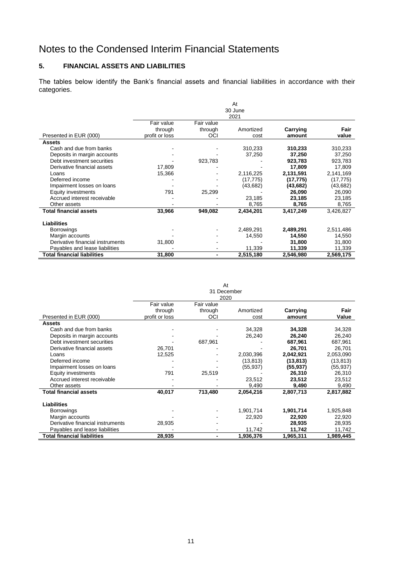### **5. FINANCIAL ASSETS AND LIABILITIES**

The tables below identify the Bank's financial assets and financial liabilities in accordance with their categories.

|                                    |                |            | At        |           |           |
|------------------------------------|----------------|------------|-----------|-----------|-----------|
|                                    |                |            | 30 June   |           |           |
|                                    |                |            | 2021      |           |           |
|                                    | Fair value     | Fair value |           |           |           |
|                                    | through        | through    | Amortized | Carrying  | Fair      |
| Presented in EUR (000)             | profit or loss | OCI        | cost      | amount    | value     |
| <b>Assets</b>                      |                |            |           |           |           |
| Cash and due from banks            |                |            | 310,233   | 310,233   | 310,233   |
| Deposits in margin accounts        |                |            | 37,250    | 37,250    | 37,250    |
| Debt investment securities         |                | 923,783    |           | 923,783   | 923,783   |
| Derivative financial assets        | 17,809         |            |           | 17,809    | 17,809    |
| Loans                              | 15,366         |            | 2,116,225 | 2,131,591 | 2,141,169 |
| Deferred income                    |                |            | (17, 775) | (17, 775) | (17, 775) |
| Impairment losses on loans         |                |            | (43, 682) | (43,682)  | (43, 682) |
| Equity investments                 | 791            | 25,299     |           | 26,090    | 26,090    |
| Accrued interest receivable        |                |            | 23,185    | 23,185    | 23,185    |
| Other assets                       |                |            | 8,765     | 8,765     | 8,765     |
| <b>Total financial assets</b>      | 33,966         | 949,082    | 2,434,201 | 3,417,249 | 3,426,827 |
| <b>Liabilities</b>                 |                |            |           |           |           |
| <b>Borrowings</b>                  |                |            | 2,489,291 | 2,489,291 | 2,511,486 |
| Margin accounts                    |                |            | 14,550    | 14,550    | 14,550    |
| Derivative financial instruments   | 31,800         |            |           | 31,800    | 31,800    |
| Payables and lease liabilities     |                |            | 11,339    | 11,339    | 11,339    |
| <b>Total financial liabilities</b> | 31,800         | -          | 2,515,180 | 2,546,980 | 2,569,175 |

At 31 December

|                                    |                | 2020       |           |           |           |
|------------------------------------|----------------|------------|-----------|-----------|-----------|
|                                    | Fair value     | Fair value |           |           |           |
|                                    | through        | through    | Amortized | Carrying  | Fair      |
| Presented in EUR (000)             | profit or loss | OCI        | cost      | amount    | Value     |
| <b>Assets</b>                      |                |            |           |           |           |
| Cash and due from banks            |                |            | 34,328    | 34,328    | 34,328    |
| Deposits in margin accounts        |                |            | 26,240    | 26,240    | 26,240    |
| Debt investment securities         |                | 687,961    |           | 687,961   | 687,961   |
| Derivative financial assets        | 26,701         |            |           | 26,701    | 26,701    |
| Loans                              | 12,525         |            | 2,030,396 | 2,042,921 | 2,053,090 |
| Deferred income                    |                |            | (13,813)  | (13,813)  | (13,813)  |
| Impairment losses on loans         |                |            | (55, 937) | (55, 937) | (55, 937) |
| Equity investments                 | 791            | 25,519     |           | 26,310    | 26,310    |
| Accrued interest receivable        |                |            | 23,512    | 23,512    | 23,512    |
| Other assets                       |                |            | 9,490     | 9,490     | 9,490     |
| <b>Total financial assets</b>      | 40,017         | 713,480    | 2,054,216 | 2,807,713 | 2,817,882 |
| <b>Liabilities</b>                 |                |            |           |           |           |
| <b>Borrowings</b>                  |                |            | 1,901,714 | 1,901,714 | 1,925,848 |
| Margin accounts                    |                |            | 22,920    | 22,920    | 22,920    |
| Derivative financial instruments   | 28,935         |            |           | 28,935    | 28,935    |
| Payables and lease liabilities     |                |            | 11,742    | 11,742    | 11,742    |
| <b>Total financial liabilities</b> | 28,935         |            | 1,936,376 | 1,965,311 | 1,989,445 |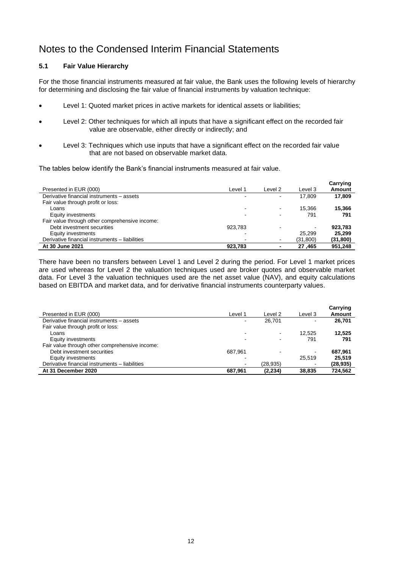### **5.1 Fair Value Hierarchy**

For the those financial instruments measured at fair value, the Bank uses the following levels of hierarchy for determining and disclosing the fair value of financial instruments by valuation technique:

- Level 1: Quoted market prices in active markets for identical assets or liabilities;
- Level 2: Other techniques for which all inputs that have a significant effect on the recorded fair value are observable, either directly or indirectly; and
- Level 3: Techniques which use inputs that have a significant effect on the recorded fair value that are not based on observable market data.

The tables below identify the Bank's financial instruments measured at fair value.

| Presented in EUR (000)                         | Level 1 | Level 2 | Level 3   | Carrying<br>Amount |
|------------------------------------------------|---------|---------|-----------|--------------------|
| Derivative financial instruments - assets      |         |         | 17.809    | 17,809             |
| Fair value through profit or loss:             |         |         |           |                    |
| Loans                                          |         |         | 15.366    | 15.366             |
| Equity investments                             |         |         | 791       | 791                |
| Fair value through other comprehensive income: |         |         |           |                    |
| Debt investment securities                     | 923.783 |         |           | 923.783            |
| Equity investments                             |         |         | 25.299    | 25.299             |
| Derivative financial instruments - liabilities |         |         | (31, 800) | (31, 800)          |
| At 30 June 2021                                | 923.783 |         | 27,465    | 951,248            |

There have been no transfers between Level 1 and Level 2 during the period. For Level 1 market prices are used whereas for Level 2 the valuation techniques used are broker quotes and observable market data. For Level 3 the valuation techniques used are the net asset value (NAV), and equity calculations based on EBITDA and market data, and for derivative financial instruments counterparty values.

| Presented in EUR (000)                         | Level 1 | Level 2   | Level 3        | Carrying<br>Amount |
|------------------------------------------------|---------|-----------|----------------|--------------------|
| Derivative financial instruments - assets      |         | 26.701    | -              | 26.701             |
| Fair value through profit or loss:             |         |           |                |                    |
| Loans                                          |         |           | 12.525         | 12.525             |
| Equity investments                             |         |           | 791            | 791                |
| Fair value through other comprehensive income: |         |           |                |                    |
| Debt investment securities                     | 687.961 |           | $\blacksquare$ | 687.961            |
| Equity investments                             |         |           | 25.519         | 25.519             |
| Derivative financial instruments - liabilities |         | (28, 935) | $\blacksquare$ | (28, 935)          |
| At 31 December 2020                            | 687.961 | (2, 234)  | 38,835         | 724.562            |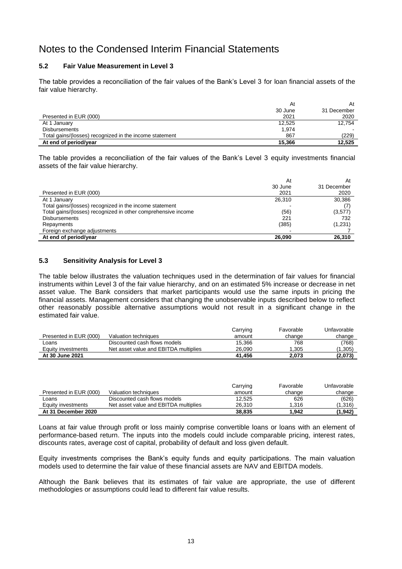### **5.2 Fair Value Measurement in Level 3**

The table provides a reconciliation of the fair values of the Bank's Level 3 for loan financial assets of the fair value hierarchy.

|                                                         | At      | At          |
|---------------------------------------------------------|---------|-------------|
|                                                         | 30 June | 31 December |
| Presented in EUR (000)                                  | 2021    | 2020        |
| At 1 January                                            | 12,525  | 12.754      |
| <b>Disbursements</b>                                    | 1.974   |             |
| Total gains/(losses) recognized in the income statement | 867     | (229)       |
| At end of period/year                                   | 15.366  | 12,525      |

The table provides a reconciliation of the fair values of the Bank's Level 3 equity investments financial assets of the fair value hierarchy.

|                                                               | At      | At          |
|---------------------------------------------------------------|---------|-------------|
|                                                               | 30 June | 31 December |
| Presented in EUR (000)                                        | 2021    | 2020        |
| At 1 January                                                  | 26,310  | 30,386      |
| Total gains/(losses) recognized in the income statement       |         |             |
| Total gains/(losses) recognized in other comprehensive income | (56)    | (3,577)     |
| <b>Disbursements</b>                                          | 221     | 732         |
| Repayments                                                    | (385)   | (1,231)     |
| Foreign exchange adjustments                                  |         |             |
| At end of period/year                                         | 26.090  | 26,310      |

#### **5.3 Sensitivity Analysis for Level 3**

The table below illustrates the valuation techniques used in the determination of fair values for financial instruments within Level 3 of the fair value hierarchy, and on an estimated 5% increase or decrease in net asset value. The Bank considers that market participants would use the same inputs in pricing the financial assets. Management considers that changing the unobservable inputs described below to reflect other reasonably possible alternative assumptions would not result in a significant change in the estimated fair value.

|                        |                                       | Carrying | Favorable | Unfavorable |
|------------------------|---------------------------------------|----------|-----------|-------------|
| Presented in EUR (000) | Valuation techniques                  | amount   | change    | change      |
| ∟oans                  | Discounted cash flows models          | 15,366   | 768       | (768)       |
| Equity investments     | Net asset value and EBITDA multiplies | 26.090   | 1.305     | (1,305)     |
| At 30 June 2021        |                                       | 41.456   | 2.073     | (2,073)     |

|                        |                                       | Carrying | Favorable | Unfavorable |
|------------------------|---------------------------------------|----------|-----------|-------------|
| Presented in EUR (000) | Valuation techniques                  | amount   | change    | change      |
| Loans                  | Discounted cash flows models          | 12,525   | 626       | (626)       |
| Equity investments     | Net asset value and EBITDA multiplies | 26.310   | 1.316     | (1,316)     |
| At 31 December 2020    |                                       | 38,835   | 1.942     | (1,942)     |

Loans at fair value through profit or loss mainly comprise convertible loans or loans with an element of performance-based return. The inputs into the models could include comparable pricing, interest rates, discounts rates, average cost of capital, probability of default and loss given default.

Equity investments comprises the Bank's equity funds and equity participations. The main valuation models used to determine the fair value of these financial assets are NAV and EBITDA models.

Although the Bank believes that its estimates of fair value are appropriate, the use of different methodologies or assumptions could lead to different fair value results.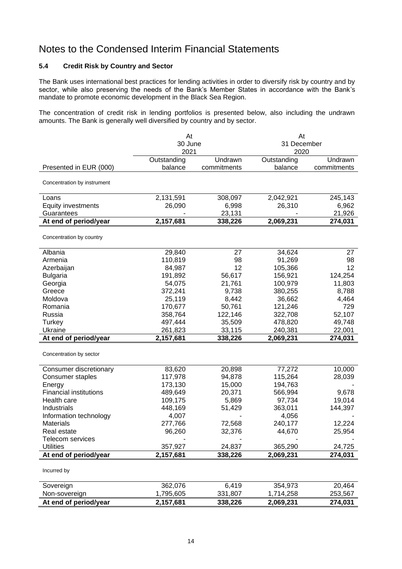### **5.4 Credit Risk by Country and Sector**

The Bank uses international best practices for lending activities in order to diversify risk by country and by sector, while also preserving the needs of the Bank's Member States in accordance with the Bank's mandate to promote economic development in the Black Sea Region.

The concentration of credit risk in lending portfolios is presented below, also including the undrawn amounts. The Bank is generally well diversified by country and by sector.

|                               | At          |             | At          |             |  |
|-------------------------------|-------------|-------------|-------------|-------------|--|
|                               | 30 June     |             | 31 December |             |  |
|                               | 2021        |             | 2020        |             |  |
|                               | Outstanding | Undrawn     | Outstanding | Undrawn     |  |
| Presented in EUR (000)        | balance     | commitments | balance     | commitments |  |
| Concentration by instrument   |             |             |             |             |  |
| Loans                         | 2,131,591   | 308,097     | 2,042,921   | 245,143     |  |
| <b>Equity investments</b>     | 26,090      | 6,998       | 26,310      | 6,962       |  |
| Guarantees                    |             | 23,131      |             | 21,926      |  |
| At end of period/year         | 2,157,681   | 338,226     | 2,069,231   | 274,031     |  |
| Concentration by country      |             |             |             |             |  |
| Albania                       | 29,840      | 27          | 34,624      | 27          |  |
| Armenia                       | 110,819     | 98          | 91,269      | 98          |  |
| Azerbaijan                    | 84,987      | 12          | 105,366     | 12          |  |
| <b>Bulgaria</b>               | 191,892     | 56,617      | 156,921     | 124,254     |  |
| Georgia                       | 54,075      | 21,761      | 100,979     | 11,803      |  |
| Greece                        | 372,241     | 9,738       | 380,255     | 8,788       |  |
| Moldova                       | 25,119      | 8,442       | 36,662      | 4,464       |  |
| Romania                       | 170,677     | 50,761      | 121,246     | 729         |  |
| Russia                        | 358,764     | 122,146     | 322,708     | 52,107      |  |
| Turkey                        | 497,444     | 35,509      | 478,820     | 49,748      |  |
| Ukraine                       | 261,823     | 33,115      | 240,381     | 22,001      |  |
| At end of period/year         | 2,157,681   | 338,226     | 2,069,231   | 274,031     |  |
| Concentration by sector       |             |             |             |             |  |
| Consumer discretionary        | 83,620      | 20,898      | 77,272      | 10,000      |  |
| <b>Consumer staples</b>       | 117,978     | 94,878      | 115,264     | 28,039      |  |
| Energy                        | 173,130     | 15,000      | 194,763     |             |  |
| <b>Financial institutions</b> | 489,649     | 20,371      | 566,994     | 9,678       |  |
| Health care                   | 109,175     | 5,869       | 97,734      | 19,014      |  |
| Industrials                   | 448,169     | 51,429      | 363,011     | 144,397     |  |
| Information technology        | 4,007       |             | 4,056       |             |  |
| <b>Materials</b>              | 277,766     | 72,568      | 240,177     | 12,224      |  |
| Real estate                   | 96,260      | 32,376      | 44,670      | 25,954      |  |
| Telecom services              |             |             |             |             |  |
| <b>Utilities</b>              | 357,927     | 24,837      | 365,290     | 24,725      |  |
| At end of period/year         | 2,157,681   | 338,226     | 2,069,231   | 274,031     |  |
| Incurred by                   |             |             |             |             |  |
| Sovereign                     | 362,076     | 6,419       | 354,973     | 20,464      |  |
| Non-sovereign                 | 1,795,605   | 331,807     | 1,714,258   | 253,567     |  |
| At end of period/year         | 2,157,681   | 338,226     | 2,069,231   | 274,031     |  |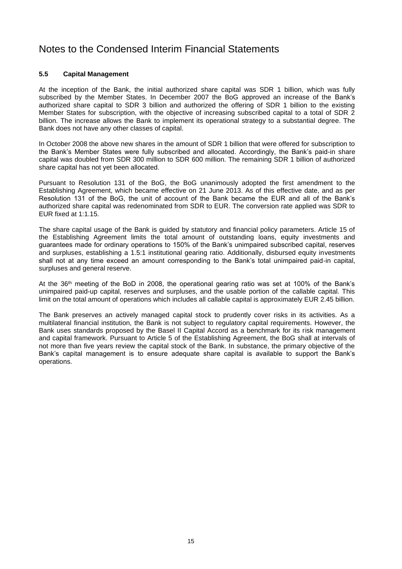### **5.5 Capital Management**

At the inception of the Bank, the initial authorized share capital was SDR 1 billion, which was fully subscribed by the Member States. In December 2007 the BoG approved an increase of the Bank's authorized share capital to SDR 3 billion and authorized the offering of SDR 1 billion to the existing Member States for subscription, with the objective of increasing subscribed capital to a total of SDR 2 billion. The increase allows the Bank to implement its operational strategy to a substantial degree. The Bank does not have any other classes of capital.

In October 2008 the above new shares in the amount of SDR 1 billion that were offered for subscription to the Bank's Member States were fully subscribed and allocated. Accordingly, the Bank's paid-in share capital was doubled from SDR 300 million to SDR 600 million. The remaining SDR 1 billion of authorized share capital has not yet been allocated.

Pursuant to Resolution 131 of the BoG, the BoG unanimously adopted the first amendment to the Establishing Agreement, which became effective on 21 June 2013. As of this effective date, and as per Resolution 131 of the BoG, the unit of account of the Bank became the EUR and all of the Bank's authorized share capital was redenominated from SDR to EUR. The conversion rate applied was SDR to EUR fixed at 1:1.15.

The share capital usage of the Bank is guided by statutory and financial policy parameters. Article 15 of the Establishing Agreement limits the total amount of outstanding loans, equity investments and guarantees made for ordinary operations to 150% of the Bank's unimpaired subscribed capital, reserves and surpluses, establishing a 1.5:1 institutional gearing ratio. Additionally, disbursed equity investments shall not at any time exceed an amount corresponding to the Bank's total unimpaired paid-in capital, surpluses and general reserve.

At the 36th meeting of the BoD in 2008, the operational gearing ratio was set at 100% of the Bank's unimpaired paid-up capital, reserves and surpluses, and the usable portion of the callable capital. This limit on the total amount of operations which includes all callable capital is approximately EUR 2.45 billion.

The Bank preserves an actively managed capital stock to prudently cover risks in its activities. As a multilateral financial institution, the Bank is not subject to regulatory capital requirements. However, the Bank uses standards proposed by the Basel II Capital Accord as a benchmark for its risk management and capital framework. Pursuant to Article 5 of the Establishing Agreement, the BoG shall at intervals of not more than five years review the capital stock of the Bank. In substance, the primary objective of the Bank's capital management is to ensure adequate share capital is available to support the Bank's operations.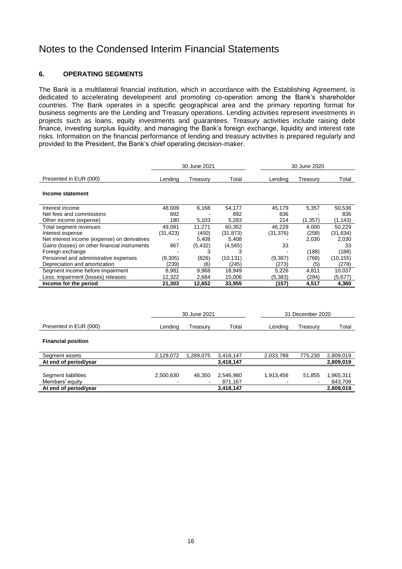#### **6. OPERATING SEGMENTS**

The Bank is a multilateral financial institution, which in accordance with the Establishing Agreement, is dedicated to accelerating development and promoting co-operation among the Bank's shareholder countries. The Bank operates in a specific geographical area and the primary reporting format for business segments are the Lending and Treasury operations. Lending activities represent investments in projects such as loans, equity investments and guarantees. Treasury activities include raising debt finance, investing surplus liquidity, and managing the Bank's foreign exchange, liquidity and interest rate risks. Information on the financial performance of lending and treasury activities is prepared regularly and provided to the President, the Bank's chief operating decision-maker.

|                                               | 30 June 2021 |              | 30 June 2020         |           |                  |                      |
|-----------------------------------------------|--------------|--------------|----------------------|-----------|------------------|----------------------|
| Presented in EUR (000)                        | Lending      | Treasury     | Total                | Lending   | Treasury         | Total                |
| Income statement                              |              |              |                      |           |                  |                      |
| Interest income                               | 48,009       | 6,168        | 54,177               | 45,179    | 5,357            | 50,536               |
| Net fees and commissions                      | 892          |              | 892                  | 836       |                  | 836                  |
| Other income (expense)                        | 180          | 5,103        | 5,283                | 214       | (1, 357)         | (1, 143)             |
| Total segment revenues                        | 49,081       | 11,271       | 60,352               | 46,229    | 4,000            | 50,229               |
| Interest expense                              | (31, 423)    | (450)        | (31, 873)            | (31, 376) | (258)            | (31, 634)            |
| Net interest income (expense) on derivatives  |              | 5,408        | 5,408                |           | 2,030            | 2,030                |
| Gains (losses) on other financial instruments | 867          | (5, 432)     | (4, 565)             | 33        |                  | 33                   |
| Foreign exchange                              |              | 3            | з                    |           | (188)            | (188)                |
| Personnel and administrative expenses         | (9,305)      | (826)        | (10, 131)            | (9, 387)  | (768)            | (10, 155)            |
| Depreciation and amortization                 | (239)        | (6)          | (245)                | (273)     | (5)              | (278)                |
| Segment income before impairment              | 8,981        | 9,968        | 18,949               | 5,226     | 4,811            | 10,037               |
| Less: impairment (losses) releases            | 12,322       | 2,684        | 15,006               | (5, 383)  | (294)            | (5,677)              |
| Income for the period                         | 21,303       | 12,652       | 33,955               | (157)     | 4,517            | 4,360                |
|                                               |              | 30 June 2021 |                      |           | 31 December 2020 |                      |
| Presented in EUR (000)                        | Lending      | Treasury     | Total                | Lending   | Treasury         | Total                |
| <b>Financial position</b>                     |              |              |                      |           |                  |                      |
| Segment assets                                | 2,129,072    | 1,289,075    | 3,418,147            | 2,033,789 | 775,230          | 2,809,019            |
| At end of period/year                         |              |              | 3,418,147            |           |                  | 2,809,019            |
| Segment liabilities<br>Members' equity        | 2,500,630    | 46,350       | 2,546,980<br>871,167 | 1,913,456 | 51,855           | 1,965,311<br>843,708 |
| At end of period/year                         |              |              | 3,418,147            |           |                  | 2,809,019            |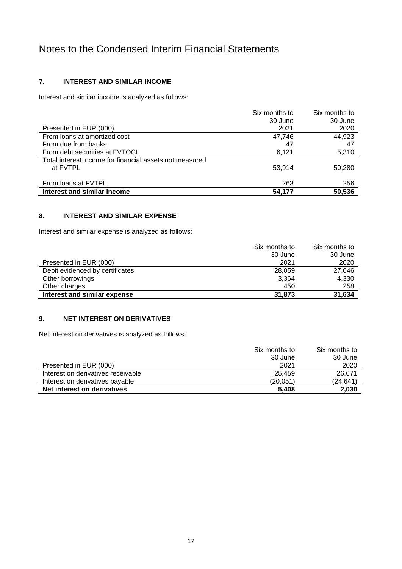### **7. INTEREST AND SIMILAR INCOME**

Interest and similar income is analyzed as follows:

|                                                                     | Six months to | Six months to |
|---------------------------------------------------------------------|---------------|---------------|
|                                                                     | 30 June       | 30 June       |
| Presented in EUR (000)                                              | 2021          | 2020          |
| From loans at amortized cost                                        | 47.746        | 44,923        |
| From due from banks                                                 | 47            | 47            |
| From debt securities at FVTOCI                                      | 6,121         | 5,310         |
| Total interest income for financial assets not measured<br>at FVTPL | 53.914        | 50,280        |
| From loans at FVTPL                                                 | 263           | 256           |
| Interest and similar income                                         | 54.177        | 50.536        |

### **8. INTEREST AND SIMILAR EXPENSE**

Interest and similar expense is analyzed as follows:

|                                 | Six months to | Six months to |
|---------------------------------|---------------|---------------|
|                                 | 30 June       | 30 June       |
| Presented in EUR (000)          | 2021          | 2020          |
| Debit evidenced by certificates | 28,059        | 27,046        |
| Other borrowings                | 3,364         | 4,330         |
| Other charges                   | 450           | 258           |
| Interest and similar expense    | 31,873        | 31,634        |

### **9. NET INTEREST ON DERIVATIVES**

Net interest on derivatives is analyzed as follows:

| Interest on derivatives payable<br>Net interest on derivatives | (20,051)<br>5.408        | (24,641<br>2,030         |
|----------------------------------------------------------------|--------------------------|--------------------------|
| Interest on derivatives receivable                             | 25.459                   | 26.671                   |
| Presented in EUR (000)                                         | 2021                     | 2020                     |
|                                                                | Six months to<br>30 June | Six months to<br>30 June |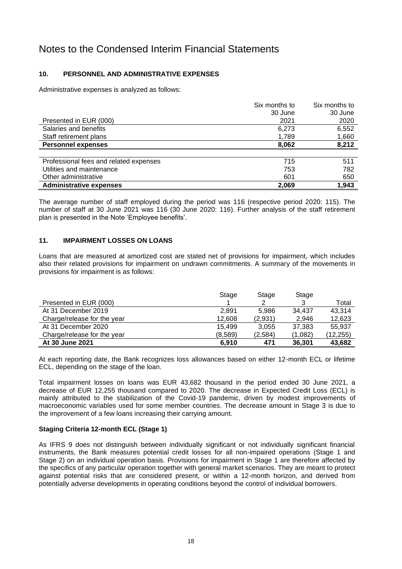### **10. PERSONNEL AND ADMINISTRATIVE EXPENSES**

Administrative expenses is analyzed as follows:

|                                        | Six months to | Six months to |
|----------------------------------------|---------------|---------------|
|                                        | 30 June       | 30 June       |
| Presented in EUR (000)                 | 2021          | 2020          |
| Salaries and benefits                  | 6,273         | 6,552         |
| Staff retirement plans                 | 1,789         | 1,660         |
| <b>Personnel expenses</b>              | 8,062         | 8,212         |
|                                        |               |               |
| Professional fees and related expenses | 715           | 511           |
| Utilities and maintenance              | 753           | 782           |
| Other administrative                   | 601           | 650           |
| <b>Administrative expenses</b>         | 2,069         | 1,943         |

The average number of staff employed during the period was 116 (respective period 2020: 115). The number of staff at 30 June 2021 was 116 (30 June 2020: 116). Further analysis of the staff retirement plan is presented in the Note 'Employee benefits'.

### **11. IMPAIRMENT LOSSES ON LOANS**

Loans that are measured at amortized cost are stated net of provisions for impairment, which includes also their related provisions for impairment on undrawn commitments. A summary of the movements in provisions for impairment is as follows:

|                             | Stage   | Stage   | Stage   |           |
|-----------------------------|---------|---------|---------|-----------|
| Presented in EUR (000)      |         |         |         | Total     |
| At 31 December 2019         | 2.891   | 5.986   | 34.437  | 43,314    |
| Charge/release for the year | 12,608  | (2,931) | 2.946   | 12,623    |
| At 31 December 2020         | 15.499  | 3.055   | 37,383  | 55.937    |
| Charge/release for the year | (8,589) | (2,584) | (1,082) | (12, 255) |
| At 30 June 2021             | 6.910   | 471     | 36.301  | 43,682    |

At each reporting date, the Bank recognizes loss allowances based on either 12-month ECL or lifetime ECL, depending on the stage of the loan.

Total impairment losses on loans was EUR 43,682 thousand in the period ended 30 June 2021, a decrease of EUR 12,255 thousand compared to 2020. The decrease in Expected Credit Loss (ECL) is mainly attributed to the stabilization of the Covid-19 pandemic, driven by modest improvements of macroeconomic variables used for some member countries. The decrease amount in Stage 3 is due to the improvement of a few loans increasing their carrying amount.

### **Staging Criteria 12-month ECL (Stage 1)**

As IFRS 9 does not distinguish between individually significant or not individually significant financial instruments, the Bank measures potential credit losses for all non-impaired operations (Stage 1 and Stage 2) on an individual operation basis. Provisions for impairment in Stage 1 are therefore affected by the specifics of any particular operation together with general market scenarios. They are meant to protect against potential risks that are considered present, or within a 12-month horizon, and derived from potentially adverse developments in operating conditions beyond the control of individual borrowers.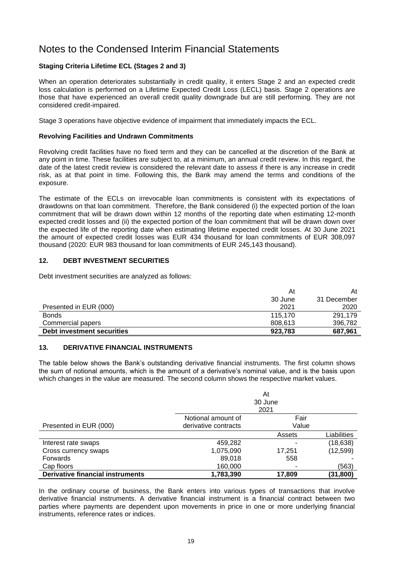### **Staging Criteria Lifetime ECL (Stages 2 and 3)**

When an operation deteriorates substantially in credit quality, it enters Stage 2 and an expected credit loss calculation is performed on a Lifetime Expected Credit Loss (LECL) basis. Stage 2 operations are those that have experienced an overall credit quality downgrade but are still performing. They are not considered credit-impaired.

Stage 3 operations have objective evidence of impairment that immediately impacts the ECL.

#### **Revolving Facilities and Undrawn Commitments**

Revolving credit facilities have no fixed term and they can be cancelled at the discretion of the Bank at any point in time. These facilities are subject to, at a minimum, an annual credit review. In this regard, the date of the latest credit review is considered the relevant date to assess if there is any increase in credit risk, as at that point in time. Following this, the Bank may amend the terms and conditions of the exposure.

The estimate of the ECLs on irrevocable loan commitments is consistent with its expectations of drawdowns on that loan commitment. Therefore, the Bank considered (i) the expected portion of the loan commitment that will be drawn down within 12 months of the reporting date when estimating 12-month expected credit losses and (ii) the expected portion of the loan commitment that will be drawn down over the expected life of the reporting date when estimating lifetime expected credit losses. At 30 June 2021 the amount of expected credit losses was EUR 434 thousand for loan commitments of EUR 308,097 thousand (2020: EUR 983 thousand for loan commitments of EUR 245,143 thousand).

### **12. DEBT INVESTMENT SECURITIES**

Debt investment securities are analyzed as follows:

|                            | At      | At          |
|----------------------------|---------|-------------|
|                            | 30 June | 31 December |
| Presented in EUR (000)     | 2021    | 2020        |
| <b>Bonds</b>               | 115.170 | 291.179     |
| Commercial papers          | 808,613 | 396,782     |
| Debt investment securities | 923,783 | 687,961     |

### **13. DERIVATIVE FINANCIAL INSTRUMENTS**

The table below shows the Bank's outstanding derivative financial instruments. The first column shows the sum of notional amounts, which is the amount of a derivative's nominal value, and is the basis upon which changes in the value are measured. The second column shows the respective market values.

|                                         | At                   |         |             |  |
|-----------------------------------------|----------------------|---------|-------------|--|
|                                         |                      | 30 June |             |  |
|                                         |                      | 2021    |             |  |
|                                         | Notional amount of   | Fair    |             |  |
| Presented in EUR (000)                  | derivative contracts | Value   |             |  |
|                                         |                      | Assets  | Liabilities |  |
| Interest rate swaps                     | 459,282              |         | (18, 638)   |  |
| Cross currency swaps                    | 1,075,090            | 17,251  | (12, 599)   |  |
| Forwards                                | 89,018               | 558     |             |  |
| Cap floors                              | 160,000              |         | (563)       |  |
| <b>Derivative financial instruments</b> | 1,783,390            | 17.809  | (31, 800)   |  |

In the ordinary course of business, the Bank enters into various types of transactions that involve derivative financial instruments. A derivative financial instrument is a financial contract between two parties where payments are dependent upon movements in price in one or more underlying financial instruments, reference rates or indices.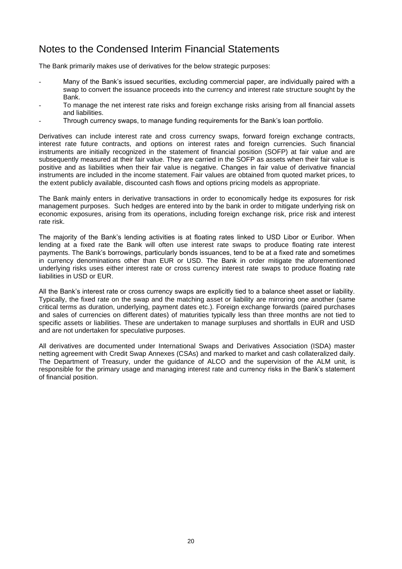The Bank primarily makes use of derivatives for the below strategic purposes:

- Many of the Bank's issued securities, excluding commercial paper, are individually paired with a swap to convert the issuance proceeds into the currency and interest rate structure sought by the Bank.
- To manage the net interest rate risks and foreign exchange risks arising from all financial assets and liabilities.
- Through currency swaps, to manage funding requirements for the Bank's loan portfolio.

Derivatives can include interest rate and cross currency swaps, forward foreign exchange contracts, interest rate future contracts, and options on interest rates and foreign currencies. Such financial instruments are initially recognized in the statement of financial position (SOFP) at fair value and are subsequently measured at their fair value. They are carried in the SOFP as assets when their fair value is positive and as liabilities when their fair value is negative. Changes in fair value of derivative financial instruments are included in the income statement. Fair values are obtained from quoted market prices, to the extent publicly available, discounted cash flows and options pricing models as appropriate.

The Bank mainly enters in derivative transactions in order to economically hedge its exposures for risk management purposes. Such hedges are entered into by the bank in order to mitigate underlying risk on economic exposures, arising from its operations, including foreign exchange risk, price risk and interest rate risk.

The majority of the Bank's lending activities is at floating rates linked to USD Libor or Euribor. When lending at a fixed rate the Bank will often use interest rate swaps to produce floating rate interest payments. The Bank's borrowings, particularly bonds issuances, tend to be at a fixed rate and sometimes in currency denominations other than EUR or USD. The Bank in order mitigate the aforementioned underlying risks uses either interest rate or cross currency interest rate swaps to produce floating rate liabilities in USD or EUR.

All the Bank's interest rate or cross currency swaps are explicitly tied to a balance sheet asset or liability. Typically, the fixed rate on the swap and the matching asset or liability are mirroring one another (same critical terms as duration, underlying, payment dates etc.). Foreign exchange forwards (paired purchases and sales of currencies on different dates) of maturities typically less than three months are not tied to specific assets or liabilities. These are undertaken to manage surpluses and shortfalls in EUR and USD and are not undertaken for speculative purposes.

All derivatives are documented under International Swaps and Derivatives Association (ISDA) master netting agreement with Credit Swap Annexes (CSAs) and marked to market and cash collateralized daily. The Department of Treasury, under the guidance of ALCO and the supervision of the ALM unit, is responsible for the primary usage and managing interest rate and currency risks in the Bank's statement of financial position.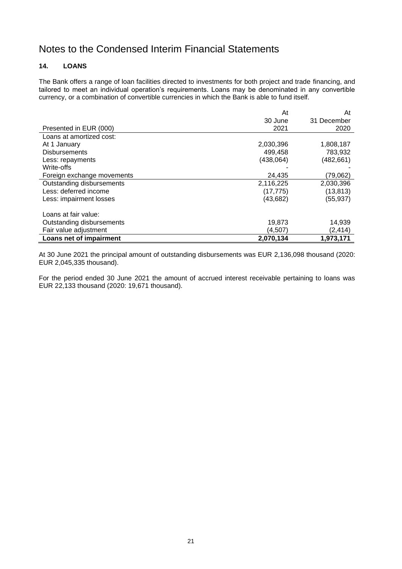### **14. LOANS**

The Bank offers a range of loan facilities directed to investments for both project and trade financing, and tailored to meet an individual operation's requirements. Loans may be denominated in any convertible currency, or a combination of convertible currencies in which the Bank is able to fund itself.

|                            | At        | At          |
|----------------------------|-----------|-------------|
|                            | 30 June   | 31 December |
| Presented in EUR (000)     | 2021      | 2020        |
| Loans at amortized cost:   |           |             |
| At 1 January               | 2,030,396 | 1,808,187   |
| <b>Disbursements</b>       | 499,458   | 783,932     |
| Less: repayments           | (438,064) | (482,661)   |
| Write-offs                 |           |             |
| Foreign exchange movements | 24,435    | (79,062)    |
| Outstanding disbursements  | 2,116,225 | 2,030,396   |
| Less: deferred income      | (17, 775) | (13, 813)   |
| Less: impairment losses    | (43, 682) | (55,937)    |
| Loans at fair value:       |           |             |
| Outstanding disbursements  | 19,873    | 14,939      |
| Fair value adjustment      | (4,507)   | (2, 414)    |
| Loans net of impairment    | 2,070,134 | 1,973,171   |

At 30 June 2021 the principal amount of outstanding disbursements was EUR 2,136,098 thousand (2020: EUR 2,045,335 thousand).

For the period ended 30 June 2021 the amount of accrued interest receivable pertaining to loans was EUR 22,133 thousand (2020: 19,671 thousand).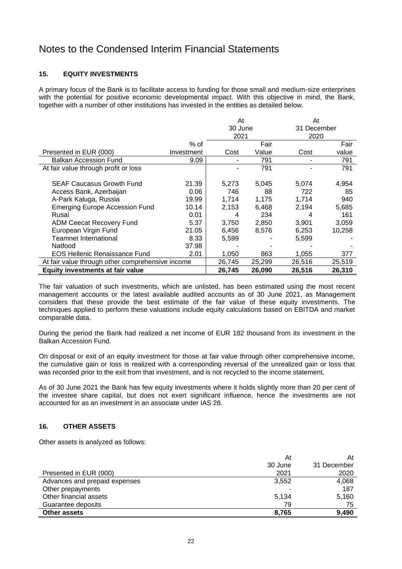### **15. EQUITY INVESTMENTS**

A primary focus of the Bank is to facilitate access to funding for those small and medium-size enterprises with the potential for positive economic developmental impact. With this objective in mind, the Bank, together with a number of other institutions has invested in the entities as detailed below.

|                                                  |            | At      |        | At     |             |  |
|--------------------------------------------------|------------|---------|--------|--------|-------------|--|
|                                                  |            | 30 June |        |        | 31 December |  |
|                                                  |            | 2021    |        |        | 2020        |  |
|                                                  | $%$ of     |         | Fair   |        | Fair        |  |
| Presented in EUR (000)                           | Investment | Cost    | Value  | Cost   | value       |  |
| <b>Balkan Accession Fund</b>                     | 9.09       |         | 791    |        | 791         |  |
| At fair value through profit or loss             |            |         | 791    |        | 791         |  |
|                                                  |            |         |        |        |             |  |
| <b>SEAF Caucasus Growth Fund</b>                 | 21.39      | 5,273   | 5,045  | 5,074  | 4,954       |  |
| Access Bank, Azerbaijan                          | 0.06       | 746     | 88     | 722    | 85          |  |
| A-Park Kaluga, Russia                            | 19.99      | 1,714   | 1,175  | 1,714  | 940         |  |
| <b>Emerging Europe Accession Fund</b>            | 10.14      | 2,153   | 6,468  | 2,194  | 5,685       |  |
| Rusal                                            | 0.01       | 4       | 234    | 4      | 161         |  |
| <b>ADM Ceecat Recovery Fund</b>                  | 5.37       | 3,750   | 2,850  | 3,901  | 3,059       |  |
| European Virgin Fund                             | 21.05      | 6,456   | 8,576  | 6,253  | 10,258      |  |
| <b>Teamnet International</b>                     | 8.33       | 5,599   |        | 5,599  |             |  |
| Natfood                                          | 37.98      |         |        |        |             |  |
| <b>EOS Hellenic Renaissance Fund</b>             | 2.01       | 1,050   | 863    | 1,055  | 377         |  |
| At fair value through other comprehensive income |            | 26,745  | 25,299 | 26,516 | 25,519      |  |
| Equity investments at fair value                 |            | 26,745  | 26,090 | 26,516 | 26,310      |  |

The fair valuation of such investments, which are unlisted, has been estimated using the most recent management accounts or the latest available audited accounts as of 30 June 2021, as Management considers that these provide the best estimate of the fair value of these equity investments. The techniques applied to perform these valuations include equity calculations based on EBITDA and market comparable data.

During the period the Bank had realized a net income of EUR 182 thousand from its investment in the Balkan Accession Fund.

On disposal or exit of an equity investment for those at fair value through other comprehensive income, the cumulative gain or loss is realized with a corresponding reversal of the unrealized gain or loss that was recorded prior to the exit from that investment, and is not recycled to the income statement.

As of 30 June 2021 the Bank has few equity investments where it holds slightly more than 20 per cent of the investee share capital, but does not exert significant influence, hence the investments are not accounted for as an investment in an associate under IAS 28.

### **16. OTHER ASSETS**

Other assets is analyzed as follows:

| At      | At          |
|---------|-------------|
| 30 June | 31 December |
| 2021    | 2020        |
| 3,552   | 4,068       |
|         | 187         |
| 5,134   | 5,160       |
| 79      | 75          |
| 8,765   | 9,490       |
|         |             |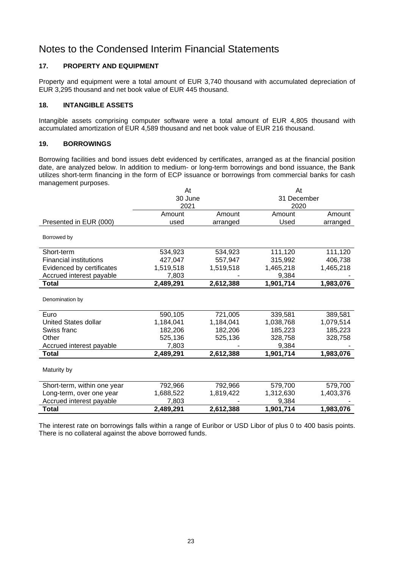### **17. PROPERTY AND EQUIPMENT**

Property and equipment were a total amount of EUR 3,740 thousand with accumulated depreciation of EUR 3,295 thousand and net book value of EUR 445 thousand.

### **18. INTANGIBLE ASSETS**

Intangible assets comprising computer software were a total amount of EUR 4,805 thousand with accumulated amortization of EUR 4,589 thousand and net book value of EUR 216 thousand.

### **19. BORROWINGS**

Borrowing facilities and bond issues debt evidenced by certificates, arranged as at the financial position date, are analyzed below. In addition to medium- or long-term borrowings and bond issuance, the Bank utilizes short-term financing in the form of ECP issuance or borrowings from commercial banks for cash management purposes.

|                               | At        |           | At          |           |
|-------------------------------|-----------|-----------|-------------|-----------|
|                               | 30 June   |           | 31 December |           |
|                               | 2021      |           | 2020        |           |
|                               | Amount    | Amount    | Amount      | Amount    |
| Presented in EUR (000)        | used      | arranged  | Used        | arranged  |
| Borrowed by                   |           |           |             |           |
| Short-term                    | 534,923   | 534,923   | 111,120     | 111,120   |
| <b>Financial institutions</b> | 427,047   | 557,947   | 315,992     | 406,738   |
| Evidenced by certificates     | 1,519,518 | 1,519,518 | 1,465,218   | 1,465,218 |
| Accrued interest payable      | 7,803     |           | 9,384       |           |
| <b>Total</b>                  | 2,489,291 | 2,612,388 | 1,901,714   | 1,983,076 |
| Denomination by               |           |           |             |           |
| Euro                          | 590,105   | 721,005   | 339,581     | 389,581   |
| <b>United States dollar</b>   | 1,184,041 | 1,184,041 | 1,038,768   | 1,079,514 |
| Swiss franc                   | 182,206   | 182,206   | 185,223     | 185,223   |
| Other                         | 525,136   | 525,136   | 328,758     | 328,758   |
| Accrued interest payable      | 7,803     |           | 9,384       |           |
| <b>Total</b>                  | 2,489,291 | 2,612,388 | 1,901,714   | 1,983,076 |
| Maturity by                   |           |           |             |           |
| Short-term, within one year   | 792,966   | 792,966   | 579,700     | 579,700   |
| Long-term, over one year      | 1,688,522 | 1,819,422 | 1,312,630   | 1,403,376 |
| Accrued interest payable      | 7,803     |           | 9,384       |           |
| Total                         | 2,489,291 | 2,612,388 | 1,901,714   | 1,983,076 |

The interest rate on borrowings falls within a range of Euribor or USD Libor of plus 0 to 400 basis points. There is no collateral against the above borrowed funds.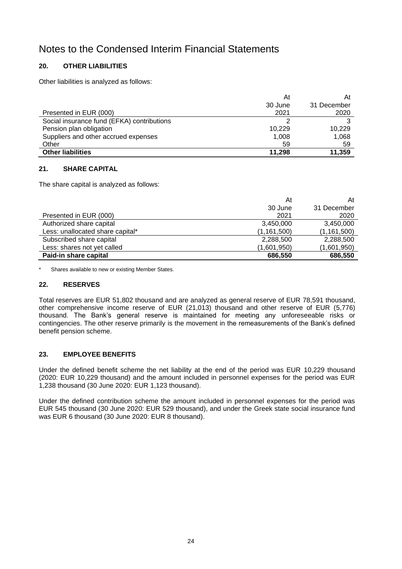### **20. OTHER LIABILITIES**

Other liabilities is analyzed as follows:

| <b>Other liabilities</b>                   | 11.298  | 11,359      |
|--------------------------------------------|---------|-------------|
| Other                                      | 59      | 59          |
| Suppliers and other accrued expenses       | 1,008   | 1,068       |
| Pension plan obligation                    | 10.229  | 10.229      |
| Social insurance fund (EFKA) contributions |         |             |
| Presented in EUR (000)                     | 2021    | 2020        |
|                                            | 30 June | 31 December |
|                                            | At      | At          |

### **21. SHARE CAPITAL**

The share capital is analyzed as follows:

|                                  | At          | At            |
|----------------------------------|-------------|---------------|
|                                  | 30 June     | 31 December   |
| Presented in EUR (000)           | 2021        | 2020          |
| Authorized share capital         | 3,450,000   | 3,450,000     |
| Less: unallocated share capital* | (1,161,500) | (1, 161, 500) |
| Subscribed share capital         | 2,288,500   | 2,288,500     |
| Less: shares not yet called      | (1,601,950) | (1,601,950)   |
| Paid-in share capital            | 686,550     | 686,550       |

\* Shares available to new or existing Member States.

### **22. RESERVES**

Total reserves are EUR 51,802 thousand and are analyzed as general reserve of EUR 78,591 thousand, other comprehensive income reserve of EUR (21,013) thousand and other reserve of EUR (5,776) thousand. The Bank's general reserve is maintained for meeting any unforeseeable risks or contingencies. The other reserve primarily is the movement in the remeasurements of the Bank's defined benefit pension scheme.

### **23. EMPLOYEE BENEFITS**

Under the defined benefit scheme the net liability at the end of the period was EUR 10,229 thousand (2020: EUR 10,229 thousand) and the amount included in personnel expenses for the period was EUR 1,238 thousand (30 June 2020: EUR 1,123 thousand).

Under the defined contribution scheme the amount included in personnel expenses for the period was EUR 545 thousand (30 June 2020: EUR 529 thousand), and under the Greek state social insurance fund was EUR 6 thousand (30 June 2020: EUR 8 thousand).